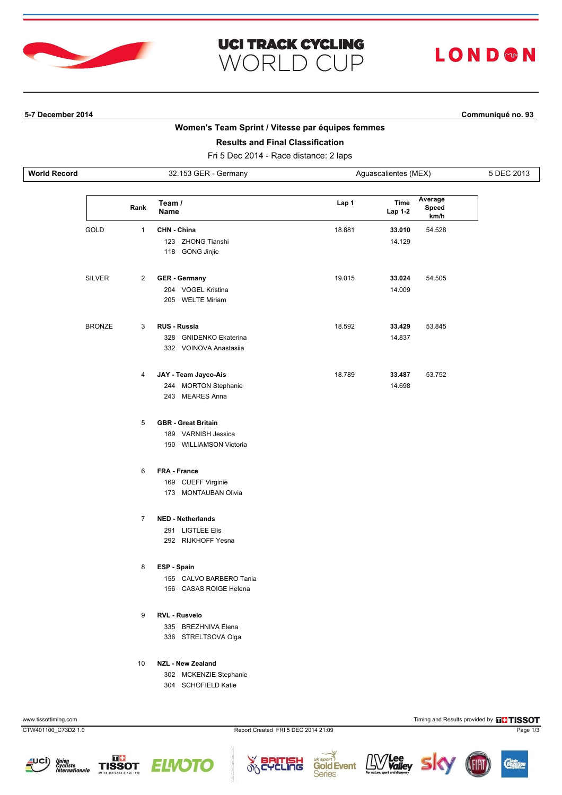

# **UCI TRACK CYCLING WORLD CUP**

# LOND®N

## **5-7 December 2014 Communiqué no. 93**

### **Women's Team Sprint / Vitesse par équipes femmes**

## **Results and Final Classification**

Fri 5 Dec 2014 - Race distance: 2 laps

| <b>World Record</b> |      | 32.153 GER - Germany |                       | Aguascalientes (MEX) |                 | 5 DEC 2013               |  |
|---------------------|------|----------------------|-----------------------|----------------------|-----------------|--------------------------|--|
|                     |      | Rank                 | Team /<br><b>Name</b> | Lap 1                | Time<br>Lap 1-2 | Average<br>Speed<br>km/h |  |
|                     | GOLD |                      | CHN - China           | 18.881               | 33,010          | 54.528                   |  |

| <b>SILVER</b> | $\overline{2}$ | <b>GER</b> - Germany             | 19.015 | 33.024 | 54.505 |
|---------------|----------------|----------------------------------|--------|--------|--------|
|               |                | <b>VOGEL Kristina</b><br>204     |        | 14.009 |        |
|               |                | <b>WELTE Miriam</b><br>205       |        |        |        |
| <b>BRONZE</b> | 3              | <b>RUS - Russia</b>              | 18.592 | 33.429 | 53.845 |
|               |                | <b>GNIDENKO Ekaterina</b><br>328 |        | 14.837 |        |
|               |                | 332 VOINOVA Anastasija           |        |        |        |
|               | 4              | JAY - Team Jayco-Ais             | 18.789 | 33.487 | 53.752 |
|               |                | <b>MORTON Stephanie</b><br>244   |        | 14.698 |        |

# 243 MEARES Anna

123 ZHONG Tianshi 118 GONG Jinjie

5 **GBR - Great Britain**

189 VARNISH Jessica

190 WILLIAMSON Victoria

6 **FRA - France**

169 CUEFF Virginie

173 MONTAUBAN Olivia

#### 7 **NED - Netherlands**

291 LIGTLEE Elis

292 RIJKHOFF Yesna

### 8 **ESP - Spain**

155 CALVO BARBERO Tania 156 CASAS ROIGE Helena

### 9 **RVL - Rusvelo**

335 BREZHNIVA Elena

336 STRELTSOVA Olga

### 10 **NZL - New Zealand**

302 MCKENZIE Stephanie

304 SCHOFIELD Katie













14.129

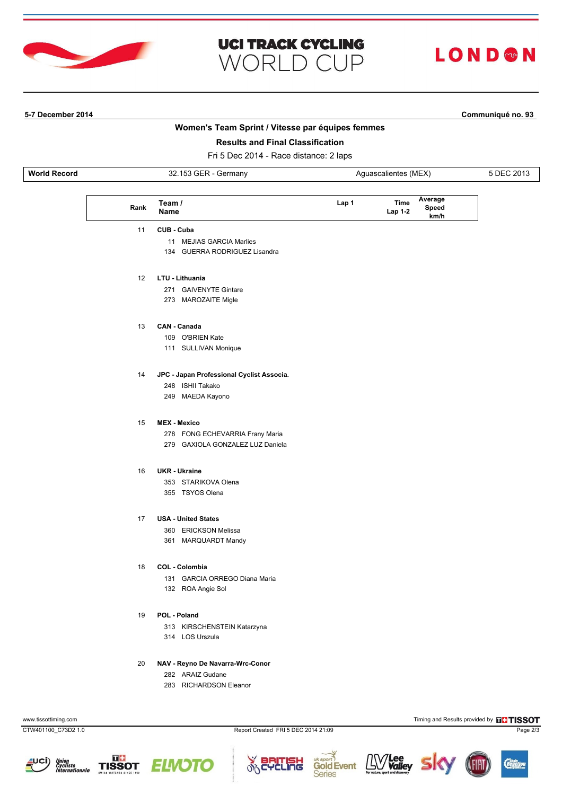

# **UCI TRACK CYCLING WORLD CUP**

# **LOND®N**

# **5-7 December 2014 Communiqué no. 93**

# **Women's Team Sprint / Vitesse par équipes femmes**

## **Results and Final Classification**

Fri 5 Dec 2014 - Race distance: 2 laps

| <b>World K</b><br>ົ<br>Record<br>:rmanv<br>JZ |  | ascalientes (MEX) |  |
|-----------------------------------------------|--|-------------------|--|
|                                               |  |                   |  |

| Rank | Team /<br><b>Name</b>                     | Lap 1 | Average<br>Time<br>Speed<br>Lap 1-2<br>km/h |
|------|-------------------------------------------|-------|---------------------------------------------|
| 11   | CUB - Cuba                                |       |                                             |
|      | 11 MEJIAS GARCIA Marlies                  |       |                                             |
|      | 134 GUERRA RODRIGUEZ Lisandra             |       |                                             |
| 12   | LTU - Lithuania                           |       |                                             |
|      | 271 GAIVENYTE Gintare                     |       |                                             |
|      | 273 MAROZAITE Migle                       |       |                                             |
| 13   | CAN - Canada                              |       |                                             |
|      | 109 O'BRIEN Kate                          |       |                                             |
|      | 111 SULLIVAN Monique                      |       |                                             |
| 14   | JPC - Japan Professional Cyclist Associa. |       |                                             |
|      | 248 ISHII Takako                          |       |                                             |
|      | 249 MAEDA Kayono                          |       |                                             |
| 15   | <b>MEX - Mexico</b>                       |       |                                             |
|      | 278 FONG ECHEVARRIA Frany Maria           |       |                                             |
|      | 279 GAXIOLA GONZALEZ LUZ Daniela          |       |                                             |
| 16   | <b>UKR</b> - Ukraine                      |       |                                             |
|      | 353 STARIKOVA Olena                       |       |                                             |
|      | 355 TSYOS Olena                           |       |                                             |
| 17   | <b>USA - United States</b>                |       |                                             |
|      | 360 ERICKSON Melissa                      |       |                                             |
|      | 361 MARQUARDT Mandy                       |       |                                             |
| 18   | COL - Colombia                            |       |                                             |
|      | 131 GARCIA ORREGO Diana Maria             |       |                                             |
|      | 132 ROA Angie Sol                         |       |                                             |
| 19   | POL - Poland                              |       |                                             |
|      | 313 KIRSCHENSTEIN Katarzyna               |       |                                             |
|      | 314 LOS Urszula                           |       |                                             |

### 20 **NAV - Reyno De Navarra-Wrc-Conor**

282 ARAIZ Gudane

283 RICHARDSON Eleanor

www.tissottiming.com **Timing and Results provided by FISSOT** 

CTW401100\_C73D2 1.0 Report Created FRI 5 DEC 2014 21:09 Page 2/3